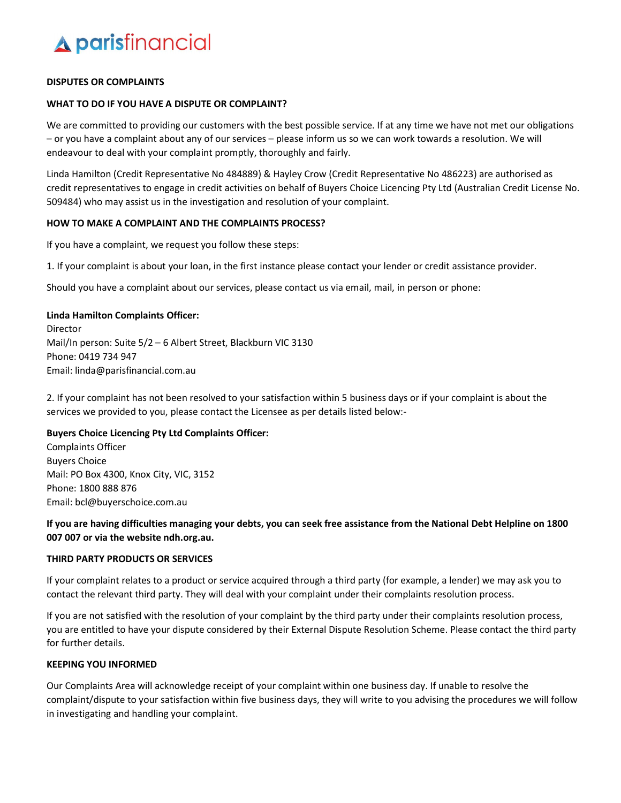## **A parisfinancial**

## DISPUTES OR COMPLAINTS

## WHAT TO DO IF YOU HAVE A DISPUTE OR COMPLAINT?

We are committed to providing our customers with the best possible service. If at any time we have not met our obligations – or you have a complaint about any of our services – please inform us so we can work towards a resolution. We will endeavour to deal with your complaint promptly, thoroughly and fairly.

Linda Hamilton (Credit Representative No 484889) & Hayley Crow (Credit Representative No 486223) are authorised as credit representatives to engage in credit activities on behalf of Buyers Choice Licencing Pty Ltd (Australian Credit License No. 509484) who may assist us in the investigation and resolution of your complaint.

## HOW TO MAKE A COMPLAINT AND THE COMPLAINTS PROCESS?

If you have a complaint, we request you follow these steps:

1. If your complaint is about your loan, in the first instance please contact your lender or credit assistance provider.

Should you have a complaint about our services, please contact us via email, mail, in person or phone:

## Linda Hamilton Complaints Officer:

Director Mail/In person: Suite 5/2 – 6 Albert Street, Blackburn VIC 3130 Phone: 0419 734 947 Email: linda@parisfinancial.com.au

2. If your complaint has not been resolved to your satisfaction within 5 business days or if your complaint is about the services we provided to you, please contact the Licensee as per details listed below:-

## Buyers Choice Licencing Pty Ltd Complaints Officer:

Complaints Officer Buyers Choice Mail: PO Box 4300, Knox City, VIC, 3152 Phone: 1800 888 876 Email: bcl@buyerschoice.com.au

## If you are having difficulties managing your debts, you can seek free assistance from the National Debt Helpline on 1800 007 007 or via the website ndh.org.au.

## THIRD PARTY PRODUCTS OR SERVICES

If your complaint relates to a product or service acquired through a third party (for example, a lender) we may ask you to contact the relevant third party. They will deal with your complaint under their complaints resolution process.

If you are not satisfied with the resolution of your complaint by the third party under their complaints resolution process, you are entitled to have your dispute considered by their External Dispute Resolution Scheme. Please contact the third party for further details.

## KEEPING YOU INFORMED

Our Complaints Area will acknowledge receipt of your complaint within one business day. If unable to resolve the complaint/dispute to your satisfaction within five business days, they will write to you advising the procedures we will follow in investigating and handling your complaint.